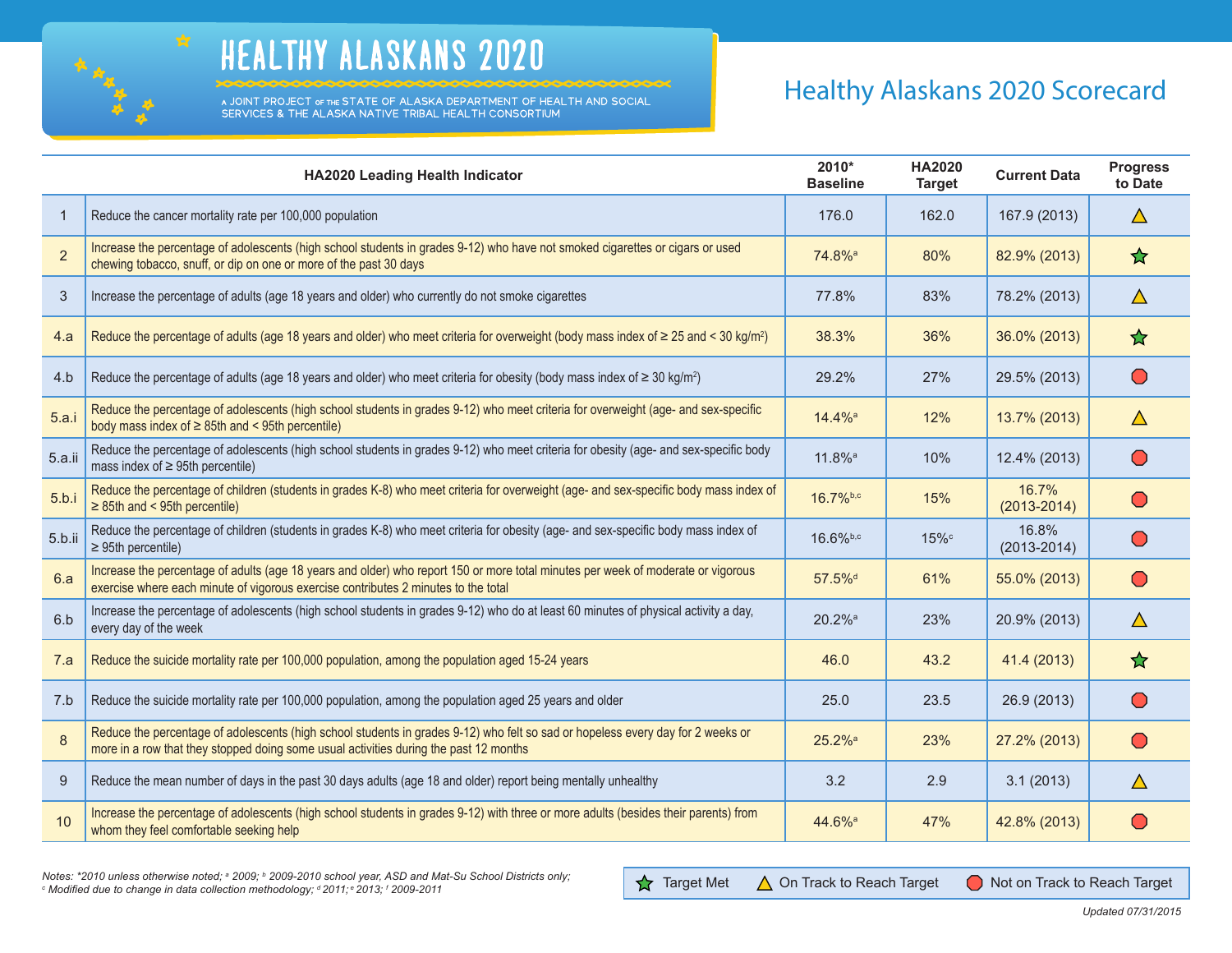

## HEALTHY ALASKANS 2020

A JOINT PROJECT OF THE STATE OF ALASKA DEPARTMENT OF HEALTH AND SOCIAL SERVICES & THE ALASKA NATIVE TRIBAL HEALTH CONSORTIUM

## Healthy Alaskans 2020 Scorecard

|                | HA2020 Leading Health Indicator                                                                                                                                                                                          | 2010*<br><b>Baseline</b> | <b>HA2020</b><br><b>Target</b> | <b>Current Data</b>      | <b>Progress</b><br>to Date                    |
|----------------|--------------------------------------------------------------------------------------------------------------------------------------------------------------------------------------------------------------------------|--------------------------|--------------------------------|--------------------------|-----------------------------------------------|
| $\mathbf 1$    | Reduce the cancer mortality rate per 100,000 population                                                                                                                                                                  | 176.0                    | 162.0                          | 167.9 (2013)             | $\Delta$                                      |
| $\overline{2}$ | Increase the percentage of adolescents (high school students in grades 9-12) who have not smoked cigarettes or cigars or used<br>chewing tobacco, snuff, or dip on one or more of the past 30 days                       | 74.8% <sup>a</sup>       | 80%                            | 82.9% (2013)             | ☆                                             |
| 3              | Increase the percentage of adults (age 18 years and older) who currently do not smoke cigarettes                                                                                                                         | 77.8%                    | 83%                            | 78.2% (2013)             | $\triangle$                                   |
| 4.a            | Reduce the percentage of adults (age 18 years and older) who meet criteria for overweight (body mass index of $\geq$ 25 and < 30 kg/m <sup>2</sup> )                                                                     | 38.3%                    | 36%                            | 36.0% (2013)             | ✿                                             |
| 4.b            | Reduce the percentage of adults (age 18 years and older) who meet criteria for obesity (body mass index of $\geq 30$ kg/m <sup>2</sup> )                                                                                 | 29.2%                    | 27%                            | 29.5% (2013)             | $\bigcirc$                                    |
| 5.a.i          | Reduce the percentage of adolescents (high school students in grades 9-12) who meet criteria for overweight (age- and sex-specific<br>body mass index of $\geq$ 85th and < 95th percentile)                              | 14.4% <sup>a</sup>       | 12%                            | 13.7% (2013)             | $\Delta$                                      |
| 5.a.ii         | Reduce the percentage of adolescents (high school students in grades 9-12) who meet criteria for obesity (age- and sex-specific body<br>mass index of $\geq$ 95th percentile)                                            | $11.8\%$ <sup>a</sup>    | 10%                            | 12.4% (2013)             | $\left( \begin{array}{c} \end{array} \right)$ |
| 5.b.i          | Reduce the percentage of children (students in grades K-8) who meet criteria for overweight (age- and sex-specific body mass index of<br>$\geq$ 85th and < 95th percentile)                                              | 16.7%b,c                 | 15%                            | 16.7%<br>$(2013 - 2014)$ | $\left( \ \right)$                            |
| 5.b.ii         | Reduce the percentage of children (students in grades K-8) who meet criteria for obesity (age- and sex-specific body mass index of<br>$\geq$ 95th percentile)                                                            | $16.6%$ <sub>b,c</sub>   | $15\%$                         | 16.8%<br>$(2013 - 2014)$ | $\mathbf{\mathbf{\mathbf{\mathsf{O}}} }$      |
| 6.a            | Increase the percentage of adults (age 18 years and older) who report 150 or more total minutes per week of moderate or vigorous<br>exercise where each minute of vigorous exercise contributes 2 minutes to the total   | 57.5% <sup>d</sup>       | 61%                            | 55.0% (2013)             | $\bigcirc$                                    |
| 6.b            | Increase the percentage of adolescents (high school students in grades 9-12) who do at least 60 minutes of physical activity a day,<br>every day of the week                                                             | $20.2%$ <sup>a</sup>     | 23%                            | 20.9% (2013)             | $\Delta$                                      |
| 7.a            | Reduce the suicide mortality rate per 100,000 population, among the population aged 15-24 years                                                                                                                          | 46.0                     | 43.2                           | 41.4 (2013)              | ☆                                             |
| 7.b            | Reduce the suicide mortality rate per 100,000 population, among the population aged 25 years and older                                                                                                                   | 25.0                     | 23.5                           | 26.9 (2013)              | $\bigcirc$                                    |
| 8              | Reduce the percentage of adolescents (high school students in grades 9-12) who felt so sad or hopeless every day for 2 weeks or<br>more in a row that they stopped doing some usual activities during the past 12 months | 25.2% <sup>a</sup>       | 23%                            | 27.2% (2013)             | $\bigcirc$                                    |
| 9              | Reduce the mean number of days in the past 30 days adults (age 18 and older) report being mentally unhealthy                                                                                                             | 3.2                      | 2.9                            | 3.1(2013)                | $\Delta$                                      |
| 10             | Increase the percentage of adolescents (high school students in grades 9-12) with three or more adults (besides their parents) from<br>whom they feel comfortable seeking help                                           | 44.6% <sup>a</sup>       | 47%                            | 42.8% (2013)             |                                               |

**BR** 

Notes: \*2010 unless otherwise noted; ª 2009; <sup>b</sup> 2009-2010 school year, ASD and Mat-Su School Districts only;<br>© Modified due to change in data collection methodology: ª 2011: º 2013: <sup>r</sup> 2009-2011  *Modified due to change in data collection methodology; d 2011; e 2013; f*

**1** Target Met △ On Track to Reach Target ● Not on Track to Reach Target